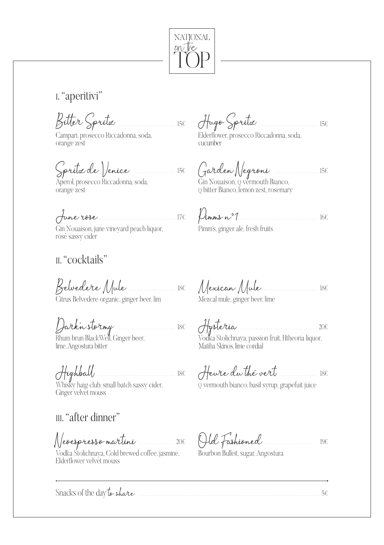

I. "aperitivi"

Bitter Spritz

Campari, prosecco Riccadonna, soda, orange zest

Aperol, prosecco Riccadonna, soda, orange zest

June rose  $166$ 

Gin Nouaison, june vineyard peach liquor, Pimm's, ginger ale, fresh fruits rosé sassy cider

### "cocktails"

Citrus Belvedere organic, ginger beer, lim

Ginger velvet mouss

## III. "after dinner"

Vodka Stolichnava, Cold brewed coffee, jasmine, Bourbon Bulleit, sugar, Angostura Elderflower velvet mouss

156 Augo Spritz  $\cdots$ 

Elderflower, prosecco Riccadonna, soda, - cucumber

Spritz de Venice 156 Garden Negroni

Gin Nouaison, o vermouth Bianco, O bitter Bianco, lemon zest, rosemary

Mezcal mule, ginger beer, lime

Dark'n stormy<br>
Rhum brun BlackWell, Ginger beer,<br>
Ime, Angostura bitter<br>
Ime, Angostura bitter<br>
Matiha Skinos, lime cordial

Highball (1988) Marian Maria 186 (1994) Mewte du thé vert (1994) 186 (1994) Misky haig club, small batch sassy cider,

Neoespresso martini 200 Old Fashioned 190

Snacks of the day to share